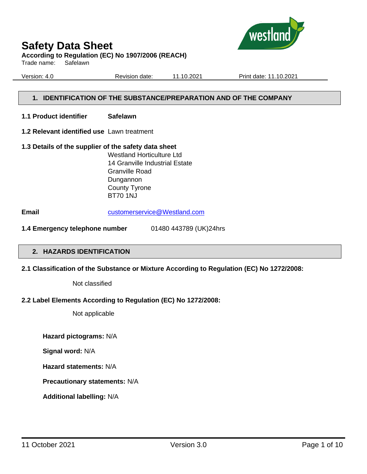

**According to Regulation (EC) No 1907/2006 (REACH)**

Trade name: Safelawn

Version: 4.0 Revision date: 11.10.2021 Print date: 11.10.2021

#### **1. IDENTIFICATION OF THE SUBSTANCE/PREPARATION AND OF THE COMPANY**

- **1.1 Product identifier Safelawn**
- **1.2 Relevant identified use** Lawn treatment
- **1.3 Details of the supplier of the safety data sheet** Westland Horticulture Ltd 14 Granville Industrial Estate Granville Road Dungannon County Tyrone BT70 1NJ

**Email** [customerservice@Westland.com](mailto:customerservice@Westland.com)

**1.4 Emergency telephone number** 01480 443789 (UK)24hrs

#### **2. HAZARDS IDENTIFICATION**

#### **2.1 Classification of the Substance or Mixture According to Regulation (EC) No 1272/2008:**

Not classified

#### **2.2 Label Elements According to Regulation (EC) No 1272/2008:**

Not applicable

**Hazard pictograms:** N/A

**Signal word:** N/A

**Hazard statements:** N/A

**Precautionary statements:** N/A

**Additional labelling:** N/A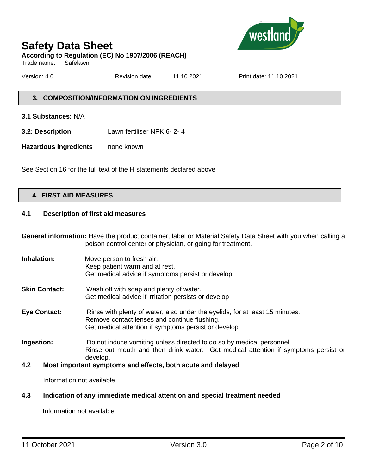

#### **According to Regulation (EC) No 1907/2006 (REACH)**

Trade name: Safelawn

Version: 4.0 Revision date: 11.10.2021 Print date: 11.10.2021

#### **3. COMPOSITION/INFORMATION ON INGREDIENTS**

**3.1 Substances:** N/A

**3.2: Description** Lawn fertiliser NPK 6- 2- 4

**Hazardous Ingredients** none known

See Section 16 for the full text of the H statements declared above

#### **4. FIRST AID MEASURES**

#### **4.1 Description of first aid measures**

**General information:** Have the product container, label or Material Safety Data Sheet with you when calling a poison control center or physician, or going for treatment.

**Inhalation:** Move person to fresh air. Keep patient warm and at rest. Get medical advice if symptoms persist or develop **Skin Contact:** Wash off with soap and plenty of water. Get medical advice if irritation persists or develop **Eye Contact:** Rinse with plenty of water, also under the eyelids, for at least 15 minutes. Remove contact lenses and continue flushing. Get medical attention if symptoms persist or develop **Ingestion:** Do not induce vomiting unless directed to do so by medical personnel Rinse out mouth and then drink water: Get medical attention if symptoms persist or develop.

#### **4.2 Most important symptoms and effects, both acute and delayed**

Information not available

#### **4.3 Indication of any immediate medical attention and special treatment needed**

Information not available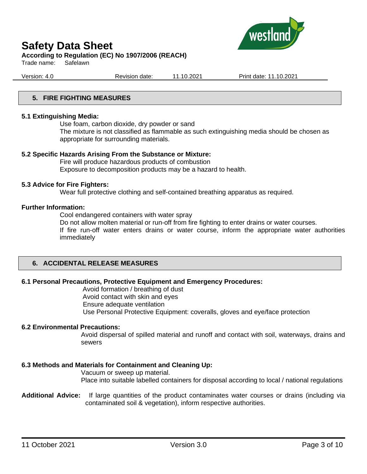

#### **According to Regulation (EC) No 1907/2006 (REACH)**

Trade name: Safelawn

Version: 4.0 Revision date: 11.10.2021 Print date: 11.10.2021

#### **5. FIRE FIGHTING MEASURES**

#### **5.1 Extinguishing Media:**

Use foam, carbon dioxide, dry powder or sand The mixture is not classified as flammable as such extinguishing media should be chosen as appropriate for surrounding materials.

#### **5.2 Specific Hazards Arising From the Substance or Mixture:**

Fire will produce hazardous products of combustion Exposure to decomposition products may be a hazard to health.

#### **5.3 Advice for Fire Fighters:**

Wear full protective clothing and self-contained breathing apparatus as required.

#### **Further Information:**

Cool endangered containers with water spray

Do not allow molten material or run-off from fire fighting to enter drains or water courses.

If fire run-off water enters drains or water course, inform the appropriate water authorities immediately

#### **6. ACCIDENTAL RELEASE MEASURES**

#### **6.1 Personal Precautions, Protective Equipment and Emergency Procedures:**

Avoid formation / breathing of dust Avoid contact with skin and eyes Ensure adequate ventilation Use Personal Protective Equipment: coveralls, gloves and eye/face protection

#### **6.2 Environmental Precautions:**

Avoid dispersal of spilled material and runoff and contact with soil, waterways, drains and sewers

#### **6.3 Methods and Materials for Containment and Cleaning Up:**

Vacuum or sweep up material. Place into suitable labelled containers for disposal according to local / national regulations

**Additional Advice:** If large quantities of the product contaminates water courses or drains (including via contaminated soil & vegetation), inform respective authorities.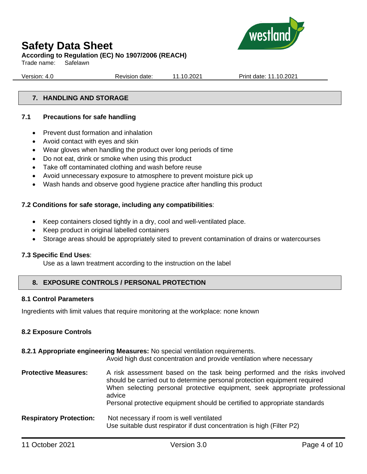

**According to Regulation (EC) No 1907/2006 (REACH)**

Trade name: Safelawn

Version: 4.0 Revision date: 11.10.2021 Print date: 11.10.2021

#### **7. HANDLING AND STORAGE**

#### **7.1 Precautions for safe handling**

- Prevent dust formation and inhalation
- Avoid contact with eyes and skin
- Wear gloves when handling the product over long periods of time
- Do not eat, drink or smoke when using this product
- Take off contaminated clothing and wash before reuse
- Avoid unnecessary exposure to atmosphere to prevent moisture pick up
- Wash hands and observe good hygiene practice after handling this product

#### **7.2 Conditions for safe storage, including any compatibilities**:

- Keep containers closed tightly in a dry, cool and well-ventilated place.
- Keep product in original labelled containers
- Storage areas should be appropriately sited to prevent contamination of drains or watercourses

#### **7.3 Specific End Uses**:

Use as a lawn treatment according to the instruction on the label

#### **8. EXPOSURE CONTROLS / PERSONAL PROTECTION**

#### **8.1 Control Parameters**

Ingredients with limit values that require monitoring at the workplace: none known

#### **8.2 Exposure Controls**

#### **8.2.1 Appropriate engineering Measures:** No special ventilation requirements.

Avoid high dust concentration and provide ventilation where necessary **Protective Measures:** A risk assessment based on the task being performed and the risks involved should be carried out to determine personal protection equipment required When selecting personal protective equipment, seek appropriate professional advice Personal protective equipment should be certified to appropriate standards **Respiratory Protection:** Not necessary if room is well ventilated Use suitable dust respirator if dust concentration is high (Filter P2)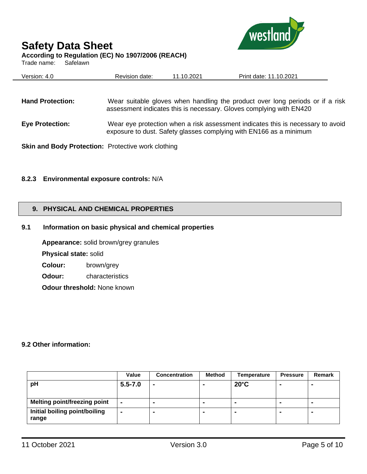

Trade name: Safelawn

| westland |
|----------|
|----------|

| <b>Hand Protection:</b>                                   | Wear suitable gloves when handling the product over long periods or if a risk<br>assessment indicates this is necessary. Gloves complying with EN420  |
|-----------------------------------------------------------|-------------------------------------------------------------------------------------------------------------------------------------------------------|
| <b>Eye Protection:</b>                                    | Wear eye protection when a risk assessment indicates this is necessary to avoid<br>exposure to dust. Safety glasses complying with EN166 as a minimum |
| <b>Skin and Body Protection:</b> Protective work clothing |                                                                                                                                                       |

Version: 4.0 Revision date: 11.10.2021 Print date: 11.10.2021

#### **8.2.3 Environmental exposure controls:** N/A

#### **9. PHYSICAL AND CHEMICAL PROPERTIES**

#### **9.1 Information on basic physical and chemical properties**

**Appearance:** solid brown/grey granules **Physical state:** solid

**Colour:** brown/grey

**Odour:** characteristics

**Odour threshold:** None known

#### **9.2 Other information:**

|                                        | Value          | <b>Concentration</b> | Method | Temperature              | <b>Pressure</b> | <b>Remark</b>  |
|----------------------------------------|----------------|----------------------|--------|--------------------------|-----------------|----------------|
| pH                                     | $5.5 - 7.0$    | ٠                    |        | $20^{\circ}$ C           | $\blacksquare$  | $\blacksquare$ |
|                                        |                |                      |        |                          |                 |                |
| <b>Melting point/freezing point</b>    | $\blacksquare$ | $\blacksquare$       |        | $\overline{\phantom{a}}$ | $\blacksquare$  | $\blacksquare$ |
| Initial boiling point/boiling<br>range | $\blacksquare$ |                      |        |                          | $\blacksquare$  |                |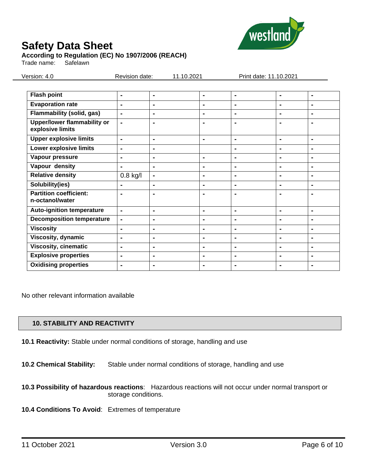

#### **According to Regulation (EC) No 1907/2006 (REACH)**

Trade name: Safelawn

Version: 4.0 Revision date: 11.10.2021 Print date: 11.10.2021

| <b>Flash point</b>                                     | $\blacksquare$ | $\blacksquare$ | ۰              | $\blacksquare$ | $\blacksquare$ | $\blacksquare$ |
|--------------------------------------------------------|----------------|----------------|----------------|----------------|----------------|----------------|
| <b>Evaporation rate</b>                                | $\blacksquare$ | $\blacksquare$ | -              | $\blacksquare$ | $\blacksquare$ | $\blacksquare$ |
| <b>Flammability (solid, gas)</b>                       | $\blacksquare$ | $\blacksquare$ | $\blacksquare$ | $\blacksquare$ | $\blacksquare$ | $\blacksquare$ |
| <b>Upper/lower flammability or</b><br>explosive limits | $\blacksquare$ | $\blacksquare$ | $\blacksquare$ | $\blacksquare$ | $\blacksquare$ | $\blacksquare$ |
| <b>Upper explosive limits</b>                          | $\blacksquare$ | $\blacksquare$ | ۰              | $\blacksquare$ | $\blacksquare$ | $\blacksquare$ |
| <b>Lower explosive limits</b>                          | $\blacksquare$ | $\blacksquare$ |                | $\blacksquare$ | $\blacksquare$ | $\blacksquare$ |
| Vapour pressure                                        | $\blacksquare$ | $\blacksquare$ | $\blacksquare$ | $\blacksquare$ | $\blacksquare$ | $\blacksquare$ |
| Vapour density                                         | $\blacksquare$ | $\blacksquare$ | $\blacksquare$ | $\blacksquare$ | $\blacksquare$ | $\blacksquare$ |
| <b>Relative density</b>                                | $0.8$ kg/l     | $\blacksquare$ | $\blacksquare$ | $\blacksquare$ | $\blacksquare$ | $\blacksquare$ |
| Solubility(ies)                                        | $\blacksquare$ | $\blacksquare$ | $\blacksquare$ | $\blacksquare$ | $\blacksquare$ | $\blacksquare$ |
| <b>Partition coefficient:</b><br>n-octanol/water       | $\blacksquare$ | $\blacksquare$ | ۰              | $\blacksquare$ | $\blacksquare$ | $\blacksquare$ |
| <b>Auto-ignition temperature</b>                       | $\blacksquare$ | $\blacksquare$ | $\blacksquare$ | $\blacksquare$ | $\blacksquare$ | $\blacksquare$ |
| <b>Decomposition temperature</b>                       | $\blacksquare$ | $\blacksquare$ | -              | $\blacksquare$ | $\blacksquare$ | ۰              |
| <b>Viscosity</b>                                       | $\blacksquare$ | $\blacksquare$ | ۰              | $\blacksquare$ | $\blacksquare$ | $\blacksquare$ |
| Viscosity, dynamic                                     | $\blacksquare$ | $\blacksquare$ | $\blacksquare$ | $\blacksquare$ | $\blacksquare$ | $\blacksquare$ |
| <b>Viscosity, cinematic</b>                            | $\blacksquare$ | $\blacksquare$ | $\blacksquare$ | $\blacksquare$ | $\blacksquare$ | $\blacksquare$ |
| <b>Explosive properties</b>                            | $\blacksquare$ | $\blacksquare$ | $\blacksquare$ | $\blacksquare$ | $\blacksquare$ | $\blacksquare$ |
| <b>Oxidising properties</b>                            |                | $\blacksquare$ | ۰              | $\blacksquare$ |                |                |

No other relevant information available

#### **10. STABILITY AND REACTIVITY**

- **10.1 Reactivity:** Stable under normal conditions of storage, handling and use
- **10.2 Chemical Stability:** Stable under normal conditions of storage, handling and use
- **10.3 Possibility of hazardous reactions**: Hazardous reactions will not occur under normal transport or storage conditions.
- **10.4 Conditions To Avoid**: Extremes of temperature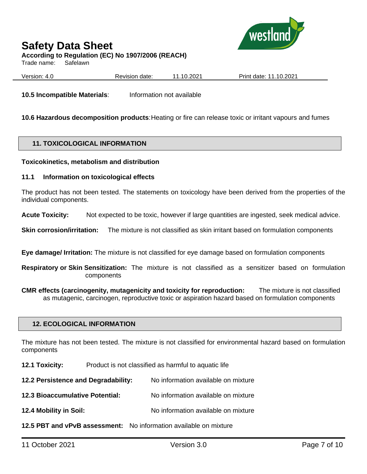

### **Safety Data Sheet According to Regulation (EC) No 1907/2006 (REACH)**

Trade name: Safelawn

Version: 4.0 Revision date: 11.10.2021 Print date: 11.10.2021

**10.5 Incompatible Materials**: Information not available

**10.6 Hazardous decomposition products**:Heating or fire can release toxic or irritant vapours and fumes

#### **11. TOXICOLOGICAL INFORMATION**

#### **Toxicokinetics, metabolism and distribution**

#### **11.1 Information on toxicological effects**

The product has not been tested. The statements on toxicology have been derived from the properties of the individual components.

**Acute Toxicity:** Not expected to be toxic, however if large quantities are ingested, seek medical advice.

**Skin corrosion/irritation:** The mixture is not classified as skin irritant based on formulation components

**Eye damage/ Irritation:** The mixture is not classified for eye damage based on formulation components

**Respiratory or Skin Sensitization:** The mixture is not classified as a sensitizer based on formulation components

**CMR effects (carcinogenity, mutagenicity and toxicity for reproduction:** The mixture is not classified as mutagenic, carcinogen, reproductive toxic or aspiration hazard based on formulation components

#### **12. ECOLOGICAL INFORMATION**

The mixture has not been tested. The mixture is not classified for environmental hazard based on formulation components

**12.1 Toxicity:** Product is not classified as harmful to aquatic life

**12.2 Persistence and Degradability:** No information available on mixture

**12.3 Bioaccumulative Potential:** No information available on mixture

**12.4 Mobility in Soil:** No information available on mixture

**12.5 PBT and vPvB assessment:** No information available on mixture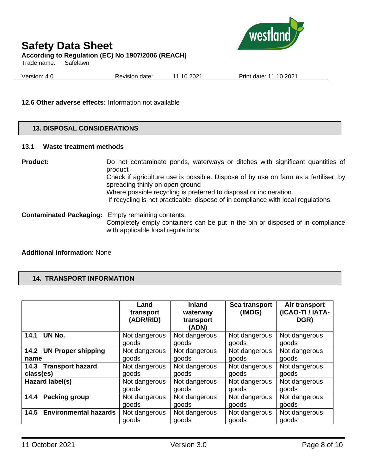

### **Safety Data Sheet According to Regulation (EC) No 1907/2006 (REACH)**

Trade name: Safelawn

Version: 4.0 Revision date: 11.10.2021 Print date: 11.10.2021

#### **12.6 Other adverse effects:** Information not available

#### **13. DISPOSAL CONSIDERATIONS**

#### **13.1 Waste treatment methods**

**Product:** Do not contaminate ponds, waterways or ditches with significant quantities of product Check if agriculture use is possible. Dispose of by use on farm as a fertiliser, by spreading thinly on open ground Where possible recycling is preferred to disposal or incineration. If recycling is not practicable, dispose of in compliance with local regulations. **Contaminated Packaging:** Empty remaining contents.

Completely empty containers can be put in the bin or disposed of in compliance with applicable local regulations

#### **Additional information**: None

#### **14. TRANSPORT INFORMATION**

|                                      | Land<br>transport<br>(ADR/RID) | <b>Inland</b><br>waterway<br>transport<br>(ADN) | Sea transport<br>(IMDG) | Air transport<br>(ICAO-TI / IATA-<br>DGR) |
|--------------------------------------|--------------------------------|-------------------------------------------------|-------------------------|-------------------------------------------|
| 14.1 UN No.                          | Not dangerous                  | Not dangerous                                   | Not dangerous           | Not dangerous                             |
|                                      | goods                          | goods                                           | goods                   | goods                                     |
| 14.2 UN Proper shipping              | Not dangerous                  | Not dangerous                                   | Not dangerous           | Not dangerous                             |
| name                                 | goods                          | goods                                           | goods                   | goods                                     |
| 14.3 Transport hazard                | Not dangerous                  | Not dangerous                                   | Not dangerous           | Not dangerous                             |
| class(es)                            | goods                          | goods                                           | goods                   | goods                                     |
| Hazard label(s)                      | Not dangerous                  | Not dangerous                                   | Not dangerous           | Not dangerous                             |
|                                      | goods                          | goods                                           | goods                   | goods                                     |
| Packing group<br>14.4                | Not dangerous                  | Not dangerous                                   | Not dangerous           | Not dangerous                             |
|                                      | goods                          | goods                                           | goods                   | goods                                     |
| <b>Environmental hazards</b><br>14.5 | Not dangerous                  | Not dangerous                                   | Not dangerous           | Not dangerous                             |
|                                      | goods                          | goods                                           | goods                   | goods                                     |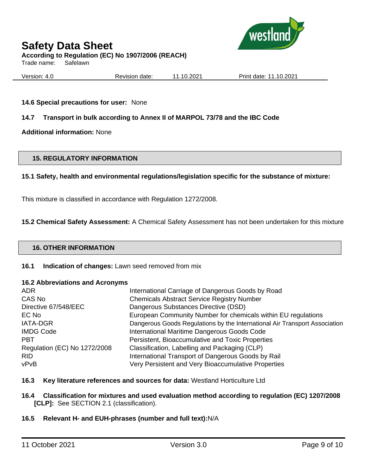

### **Safety Data Sheet According to Regulation (EC) No 1907/2006 (REACH)**

Trade name: Safelawn

Version: 4.0 Revision date: 11.10.2021 Print date: 11.10.2021

#### **14.6 Special precautions for user:** None

#### **14.7 Transport in bulk according to Annex II of MARPOL 73/78 and the IBC Code**

**Additional information:** None

#### **15. REGULATORY INFORMATION**

#### **15.1 Safety, health and environmental regulations/legislation specific for the substance of mixture:**

This mixture is classified in accordance with Regulation 1272/2008.

**15.2 Chemical Safety Assessment:** A Chemical Safety Assessment has not been undertaken for this mixture

#### **16. OTHER INFORMATION**

#### **16.1 Indication of changes:** Lawn seed removed from mix

#### **16.2 Abbreviations and Acronyms**

| <b>ADR</b>                   | International Carriage of Dangerous Goods by Road                          |
|------------------------------|----------------------------------------------------------------------------|
| CAS No                       | <b>Chemicals Abstract Service Registry Number</b>                          |
| Directive 67/548/EEC         | Dangerous Substances Directive (DSD)                                       |
| EC No                        | European Community Number for chemicals within EU regulations              |
| <b>IATA-DGR</b>              | Dangerous Goods Regulations by the International Air Transport Association |
| <b>IMDG Code</b>             | International Maritime Dangerous Goods Code                                |
| <b>PBT</b>                   | Persistent, Bioaccumulative and Toxic Properties                           |
| Regulation (EC) No 1272/2008 | Classification, Labelling and Packaging (CLP)                              |
| <b>RID</b>                   | International Transport of Dangerous Goods by Rail                         |
| vPvB                         | Very Persistent and Very Bioaccumulative Properties                        |

#### **16.3 Key literature references and sources for data:** Westland Horticulture Ltd

#### **16.4 Classification for mixtures and used evaluation method according to regulation (EC) 1207/2008 [CLP]:** See SECTION 2.1 (classification).

#### **16.5 Relevant H- and EUH-phrases (number and full text):**N/A